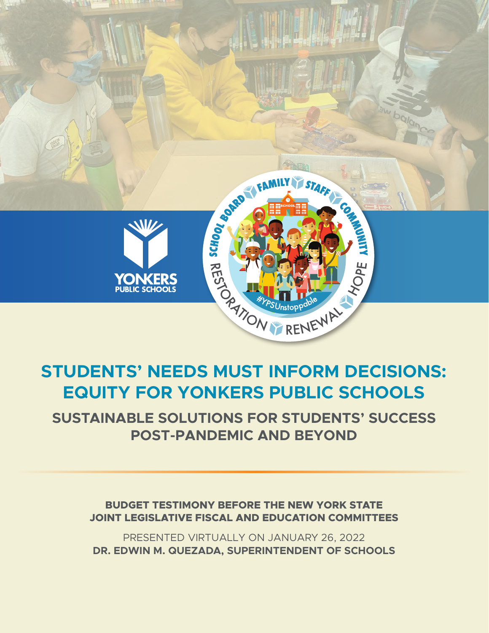

# **STUDENTS' NEEDS MUST INFORM DECISIONS: EQUITY FOR YONKERS PUBLIC SCHOOLS**

**SUSTAINABLE SOLUTIONS FOR STUDENTS' SUCCESS POST-PANDEMIC AND BEYOND** 

**BUDGET TESTIMONY BEFORE THE NEW YORK STATE JOINT LEGISLATIVE FISCAL AND EDUCATION COMMITTEES**

PRESENTED VIRTUALLY ON JANUARY 26, 2022 **DR. EDWIN M. QUEZADA, SUPERINTENDENT OF SCHOOLS**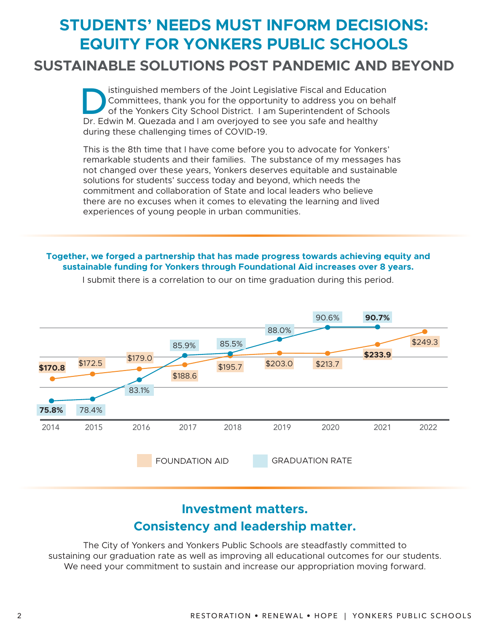# **STUDENTS' NEEDS MUST INFORM DECISIONS: EQUITY FOR YONKERS PUBLIC SCHOOLS**

# **SUSTAINABLE SOLUTIONS POST PANDEMIC AND BEYOND**

Simplished members of the Joint Legislative Fiscal and Education<br>Committees, thank you for the opportunity to address you on behaved of the Yonkers City School District. I am Superintendent of Schools<br>Dr. Edwin M. Quezada Committees, thank you for the opportunity to address you on behalf of the Yonkers City School District. I am Superintendent of Schools Dr. Edwin M. Quezada and I am overjoyed to see you safe and healthy during these challenging times of COVID-19.

This is the 8th time that I have come before you to advocate for Yonkers' remarkable students and their families. The substance of my messages has not changed over these years, Yonkers deserves equitable and sustainable solutions for students' success today and beyond, which needs the commitment and collaboration of State and local leaders who believe there are no excuses when it comes to elevating the learning and lived experiences of young people in urban communities.

#### **Together, we forged a partnership that has made progress towards achieving equity and sustainable funding for Yonkers through Foundational Aid increases over 8 years.**



I submit there is a correlation to our on time graduation during this period.

# **Investment matters. Consistency and leadership matter.**

The City of Yonkers and Yonkers Public Schools are steadfastly committed to sustaining our graduation rate as well as improving all educational outcomes for our students. We need your commitment to sustain and increase our appropriation moving forward.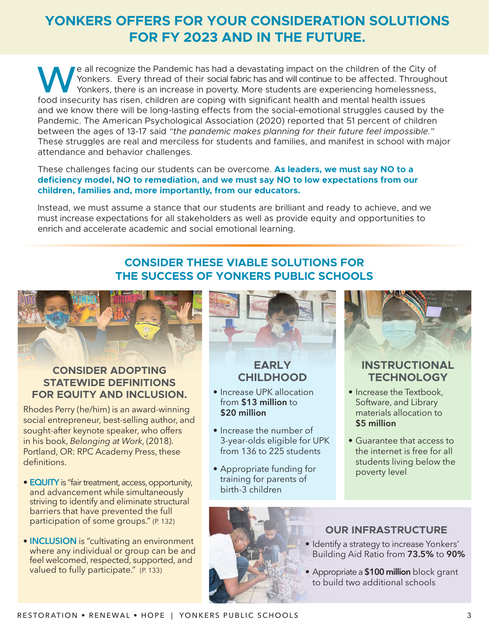# **YONKERS OFFERS FOR YOUR CONSIDERATION SOLUTIONS FOR FY 2023 AND IN THE FUTURE.**

We all recognize the Pandemic has had a devastating impact on the children of the City of<br>Yonkers. Every thread of their social fabric has and will continue to be affected. Througho<br>Yonkers, there is an increase in poverty Yonkers. Every thread of their social fabric has and will continue to be affected. Throughout Yonkers, there is an increase in poverty. More students are experiencing homelessness, food insecurity has risen, children are coping with significant health and mental health issues and we know there will be long-lasting effects from the social-emotional struggles caused by the Pandemic. The American Psychological Association (2020) reported that 51 percent of children between the ages of 13-17 said *"the pandemic makes planning for their future feel impossible."* These struggles are real and merciless for students and families, and manifest in school with major attendance and behavior challenges.

#### These challenges facing our students can be overcome. **As leaders, we must say NO to a deficiency model, NO to remediation, and we must say NO to low expectations from our children, families and, more importantly, from our educators.**

Instead, we must assume a stance that our students are brilliant and ready to achieve, and we must increase expectations for all stakeholders as well as provide equity and opportunities to enrich and accelerate academic and social emotional learning.

# **CONSIDER THESE VIABLE SOLUTIONS FOR THE SUCCESS OF YONKERS PUBLIC SCHOOLS**



### **CONSIDER ADOPTING STATEWIDE DEFINITIONS FOR EQUITY AND INCLUSION.**

Rhodes Perry (he/him) is an award-winning social entrepreneur, best-selling author, and sought-after keynote speaker, who offers in his book, *Belonging at Work*, (2018). Portland, OR: RPC Academy Press, these definitions.

- **EQUITY** is "fair treatment, access, opportunity, and advancement while simultaneously striving to identify and eliminate structural barriers that have prevented the full participation of some groups." (P. 132)
- **INCLUSION** is "cultivating an environment where any individual or group can be and feel welcomed, respected, supported, and valued to fully participate." (P. 133)



# **EARLY CHILDHOOD**

- Increase UPK allocation from **\$13 million** to **\$20 million**
- Increase the number of 3-year-olds eligible for UPK from 136 to 225 students
- Appropriate funding for training for parents of birth-3 children



## **INSTRUCTIONAL TECHNOLOGY**

- Increase the Textbook, Software, and Library materials allocation to **\$5 million**
- Guarantee that access to the internet is free for all students living below the poverty level



## **OUR INFRASTRUCTURE**

- Identify a strategy to increase Yonkers' Building Aid Ratio from **73.5%** to **90%**
- Appropriate a **\$100 million** block grant to build two additional schools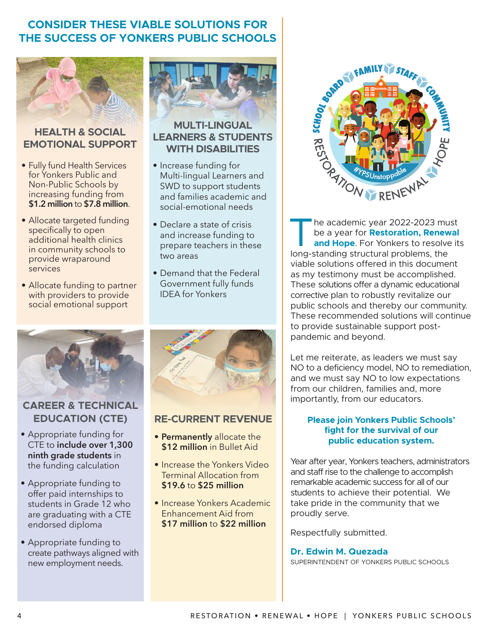# **CONSIDER THESE VIABLE SOLUTIONS FOR THE SUCCESS OF YONKERS PUBLIC SCHOOLS**



#### **HEALTH & SOCIAL EMOTIONAL SUPPORT**

- Fully fund Health Services for Yonkers Public and Non-Public Schools by increasing funding from **\$1.2 million** to **\$7.8 million**.
- Allocate targeted funding specifically to open additional health clinics in community schools to provide wraparound services
- Allocate funding to partner with providers to provide social emotional support



## **CAREER & TECHNICAL EDUCATION (CTE)**

- Appropriate funding for CTE to **include over 1,300 ninth grade students** in the funding calculation
- Appropriate funding to offer paid internships to students in Grade 12 who are graduating with a CTE endorsed diploma
- Appropriate funding to create pathways aligned with new employment needs.



## **MULTI-LINGUAL LEARNERS & STUDENTS WITH DISABILITIES**

- Increase funding for Multi-lingual Learners and SWD to support students and families academic and social-emotional needs
- Declare a state of crisis and increase funding to prepare teachers in these two areas
- Demand that the Federal Government fully funds IDEA for Yonkers



### **RE-CURRENT REVENUE**

- **Permanently** allocate the **\$12 million** in Bullet Aid
- Increase the Yonkers Video Terminal Allocation from **\$19.6** to **\$25 million**
- Increase Yonkers Academic Enhancement Aid from **\$17 million** to **\$22 million**



The academic year 2022-2023 must<br>be a year for **Restoration, Renewal<br>and Hope**. For Yonkers to resolve it<br>long-standing structural problems, the be a year for **Restoration, Renewal and Hope**. For Yonkers to resolve its long-standing structural problems, the viable solutions offered in this document as my testimony must be accomplished. These solutions offer a dynamic educational corrective plan to robustly revitalize our public schools and thereby our community. These recommended solutions will continue to provide sustainable support postpandemic and beyond.

Let me reiterate, as leaders we must say NO to a deficiency model, NO to remediation, and we must say NO to low expectations from our children, families and, more importantly, from our educators.

#### **Please join Yonkers Public Schools' fight for the survival of our public education system.**

Year after year, Yonkers teachers, administrators and staff rise to the challenge to accomplish remarkable academic success for all of our students to achieve their potential. We take pride in the community that we proudly serve.

Respectfully submitted.

#### **Dr. Edwin M. Quezada** SUPERINTENDENT OF YONKERS PUBLIC SCHOOLS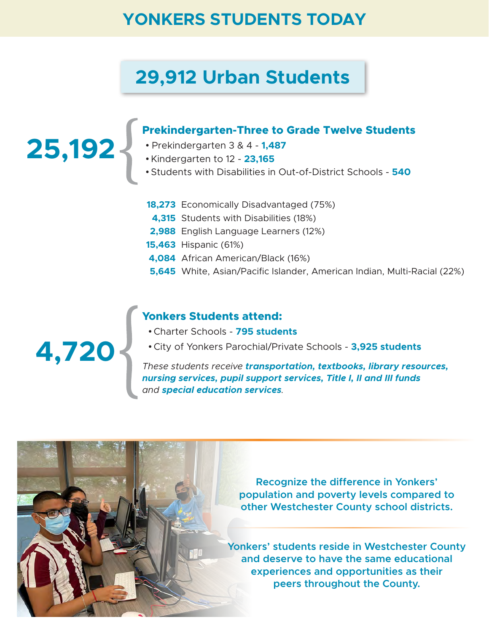# **YONKERS STUDENTS TODAY**

# **29,912 Urban Students**

### **Prekindergarten-Three to Grade Twelve Students**

- **•** Prekindergarten 3 & 4 **1,487**
- Kindergarten to 12 **23,165**
- Students with Disabilities in Out-of-District Schools **540**
- **18,273** Economically Disadvantaged (75%)
- **4,315** Students with Disabilities (18%)
- **2,988** English Language Learners (12%)
- **15,463** Hispanic (61%)
- **4,084** African American/Black (16%)
- **5,645** White, Asian/Pacific Islander, American Indian, Multi-Racial (22%)

#### **Yonkers Students attend:**

- Charter Schools **795 students**
- City of Yonkers Parochial/Private Schools **3,925 students**

*These students receive transportation, textbooks, library resources, nursing services, pupil support services, Title I, II and III funds and special education services.*

> **Recognize the difference in Yonkers' population and poverty levels compared to other Westchester County school districts.**

**Yonkers' students reside in Westchester County and deserve to have the same educational experiences and opportunities as their peers throughout the County.**

**4,720**

**25,192**